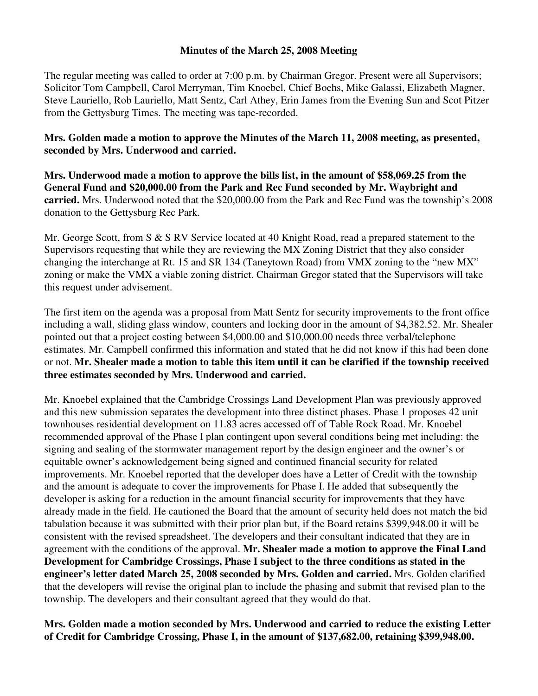## **Minutes of the March 25, 2008 Meeting**

The regular meeting was called to order at 7:00 p.m. by Chairman Gregor. Present were all Supervisors; Solicitor Tom Campbell, Carol Merryman, Tim Knoebel, Chief Boehs, Mike Galassi, Elizabeth Magner, Steve Lauriello, Rob Lauriello, Matt Sentz, Carl Athey, Erin James from the Evening Sun and Scot Pitzer from the Gettysburg Times. The meeting was tape-recorded.

**Mrs. Golden made a motion to approve the Minutes of the March 11, 2008 meeting, as presented, seconded by Mrs. Underwood and carried.** 

**Mrs. Underwood made a motion to approve the bills list, in the amount of \$58,069.25 from the General Fund and \$20,000.00 from the Park and Rec Fund seconded by Mr. Waybright and carried.** Mrs. Underwood noted that the \$20,000.00 from the Park and Rec Fund was the township's 2008 donation to the Gettysburg Rec Park.

Mr. George Scott, from S & S RV Service located at 40 Knight Road, read a prepared statement to the Supervisors requesting that while they are reviewing the MX Zoning District that they also consider changing the interchange at Rt. 15 and SR 134 (Taneytown Road) from VMX zoning to the "new MX" zoning or make the VMX a viable zoning district. Chairman Gregor stated that the Supervisors will take this request under advisement.

The first item on the agenda was a proposal from Matt Sentz for security improvements to the front office including a wall, sliding glass window, counters and locking door in the amount of \$4,382.52. Mr. Shealer pointed out that a project costing between \$4,000.00 and \$10,000.00 needs three verbal/telephone estimates. Mr. Campbell confirmed this information and stated that he did not know if this had been done or not. **Mr. Shealer made a motion to table this item until it can be clarified if the township received three estimates seconded by Mrs. Underwood and carried.** 

Mr. Knoebel explained that the Cambridge Crossings Land Development Plan was previously approved and this new submission separates the development into three distinct phases. Phase 1 proposes 42 unit townhouses residential development on 11.83 acres accessed off of Table Rock Road. Mr. Knoebel recommended approval of the Phase I plan contingent upon several conditions being met including: the signing and sealing of the stormwater management report by the design engineer and the owner's or equitable owner's acknowledgement being signed and continued financial security for related improvements. Mr. Knoebel reported that the developer does have a Letter of Credit with the township and the amount is adequate to cover the improvements for Phase I. He added that subsequently the developer is asking for a reduction in the amount financial security for improvements that they have already made in the field. He cautioned the Board that the amount of security held does not match the bid tabulation because it was submitted with their prior plan but, if the Board retains \$399,948.00 it will be consistent with the revised spreadsheet. The developers and their consultant indicated that they are in agreement with the conditions of the approval. **Mr. Shealer made a motion to approve the Final Land Development for Cambridge Crossings, Phase I subject to the three conditions as stated in the engineer's letter dated March 25, 2008 seconded by Mrs. Golden and carried.** Mrs. Golden clarified that the developers will revise the original plan to include the phasing and submit that revised plan to the township. The developers and their consultant agreed that they would do that.

**Mrs. Golden made a motion seconded by Mrs. Underwood and carried to reduce the existing Letter of Credit for Cambridge Crossing, Phase I, in the amount of \$137,682.00, retaining \$399,948.00.**